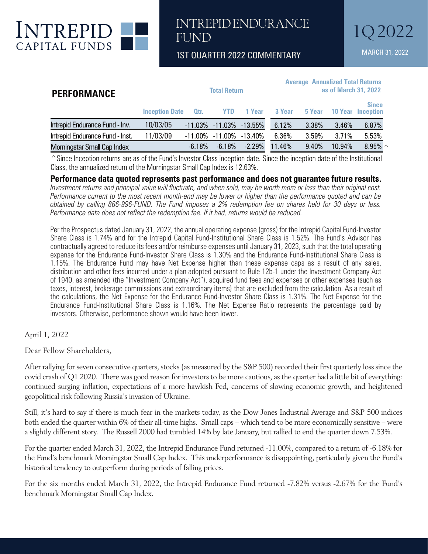

1ST QUARTER 2022 COMMENTARY MARCH 31, 2022

| <b>PERFORMANCE</b>                 | <b>Total Return</b>   |                  |                              |               | <b>Average Annualized Total Returns</b><br>as of March 31, 2022 |        |                |                           |
|------------------------------------|-----------------------|------------------|------------------------------|---------------|-----------------------------------------------------------------|--------|----------------|---------------------------|
|                                    | <b>Inception Date</b> | O <sub>tr.</sub> | <b>YTD</b>                   | <b>1 Year</b> | 3 Year                                                          | 5 Year | <b>10 Year</b> | <b>Since</b><br>Inception |
| Intrepid Endurance Fund - Inv.     | 10/03/05              |                  | $-11.03\% -11.03\% -13.55\%$ |               | 6.12%                                                           | 3.38%  | 3.46%          | 6.87%                     |
| Intrepid Endurance Fund - Inst.    | 11/03/09              | -11.00%          | $-11.00\%$ $-13.40\%$        |               | 6.36%                                                           | 3.59%  | 3.71%          | 5.53%                     |
| <b>Morningstar Small Cap Index</b> |                       | $-6.18%$         | $-6.18\%$                    | $-2.29\%$     | 11.46%                                                          | 9.40%  | 10.94%         | 8.95% $\land$             |

 $^{\circ}$ Since Inception returns are as of the Fund's Investor Class inception date. Since the inception date of the Institutional Class, the annualized return of the Morningstar Small Cap Index is 12.63%.

### **Performance data quoted represents past performance and does not guarantee future results.**

*Investment returns and principal value will fluctuate, and when sold, may be worth more or less than their original cost. Performance current to the most recent month-end may be lower or higher than the performance quoted and can be obtained by calling 866-996-FUND. The Fund imposes a 2% redemption fee on shares held for 30 days or less. Performance data does not reflect the redemption fee. If it had, returns would be reduced.*

Per the Prospectus dated January 31, 2022, the annual operating expense (gross) for the Intrepid Capital Fund-Investor Share Class is 1.74% and for the Intrepid Capital Fund-Institutional Share Class is 1.52%. The Fund's Advisor has contractually agreed to reduce its fees and/or reimburse expenses until January 31, 2023, such that the total operating expense for the Endurance Fund-Investor Share Class is 1.30% and the Endurance Fund-Institutional Share Class is 1.15%. The Endurance Fund may have Net Expense higher than these expense caps as a result of any sales, distribution and other fees incurred under a plan adopted pursuant to Rule 12b-1 under the Investment Company Act of 1940, as amended (the "Investment Company Act"), acquired fund fees and expenses or other expenses (such as taxes, interest, brokerage commissions and extraordinary items) that are excluded from the calculation. As a result of the calculations, the Net Expense for the Endurance Fund-Investor Share Class is 1.31%. The Net Expense for the Endurance Fund-Institutional Share Class is 1.16%. The Net Expense Ratio represents the percentage paid by investors. Otherwise, performance shown would have been lower.

April 1, 2022

Dear Fellow Shareholders,

After rallying for seven consecutive quarters, stocks (as measured by the S&P 500) recorded their first quarterly loss since the covid crash of Q1 2020. There was good reason for investors to be more cautious, as the quarter had a little bit of everything: continued surging inflation, expectations of a more hawkish Fed, concerns of slowing economic growth, and heightened geopolitical risk following Russia's invasion of Ukraine.

Still, it's hard to say if there is much fear in the markets today, as the Dow Jones Industrial Average and S&P 500 indices both ended the quarter within 6% of their all-time highs. Small caps – which tend to be more economically sensitive – were a slightly different story. The Russell 2000 had tumbled 14% by late January, but rallied to end the quarter down 7.53%.

For the quarter ended March 31, 2022, the Intrepid Endurance Fund returned -11.00%, compared to a return of -6.18% for the Fund's benchmark Morningstar Small Cap Index. This underperformance is disappointing, particularly given the Fund's historical tendency to outperform during periods of falling prices.

For the six months ended March 31, 2022, the Intrepid Endurance Fund returned -7.82% versus -2.67% for the Fund's benchmark Morningstar Small Cap Index.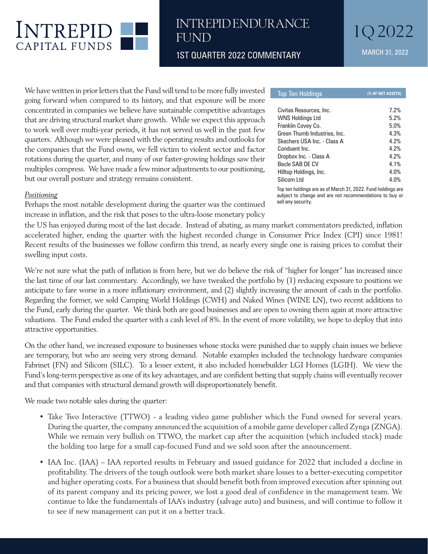

1ST QUARTER 2022 COMMENTARY MARCH 31, 2022

We have written in prior letters that the Fund will tend to be more fully invested going forward when compared to its history, and that exposure will be more concentrated in companies we believe have sustainable competitive advantages that are driving structural market share growth. While we expect this approach to work well over multi-year periods, it has not served us well in the past few quarters. Although we were pleased with the operating results and outlooks for the companies that the Fund owns, we fell victim to violent sector and factor rotations during the quarter, and many of our faster-growing holdings saw their multiples compress. We have made a few minor adjustments to our positioning, but our overall posture and strategy remains consistent.

#### *Positioning*

Perhaps the most notable development during the quarter was the continued increase in inflation, and the risk that poses to the ultra-loose monetary policy

Civitas Resources, Inc. 7.2% WNS Holdings Ltd 5.2% Franklin Covey Co. 6.0% Green Thumb Industries, Inc. 4.3% Skechers USA Inc. - Class A 4.2% Conduent Inc. 4.2% Dropbox Inc. - Class A 4.2% Becle SAB DE CV 4.1% Hilltop Holdings, Inc. 4.0% Silicom Ltd 4.0%

Top Ten Holdings **(% OF NET ASSETS)**

Top ten holdings are as of March 31, 2022. Fund holdings are subject to change and are not recommendations to buy or sell any security.

the US has enjoyed during most of the last decade. Instead of abating, as many market commentators predicted, inflation accelerated higher, ending the quarter with the highest recorded change in Consumer Price Index (CPI) since 1981! Recent results of the businesses we follow confirm this trend, as nearly every single one is raising prices to combat their swelling input costs.

We're not sure what the path of inflation is from here, but we do believe the risk of "higher for longer" has increased since the last time of our last commentary. Accordingly, we have tweaked the portfolio by (1) reducing exposure to positions we anticipate to fare worse in a more inflationary environment, and (2) slightly increasing the amount of cash in the portfolio. Regarding the former, we sold Camping World Holdings (CWH) and Naked Wines (WINE LN), two recent additions to the Fund, early during the quarter. We think both are good businesses and are open to owning them again at more attractive valuations. The Fund ended the quarter with a cash level of 8%. In the event of more volatility, we hope to deploy that into attractive opportunities.

On the other hand, we increased exposure to businesses whose stocks were punished due to supply chain issues we believe are temporary, but who are seeing very strong demand. Notable examples included the technology hardware companies Fabrinet (FN) and Silicom (SILC). To a lesser extent, it also included homebuilder LGI Homes (LGIH). We view the Fund's long-term perspective as one of its key advantages, and are confident betting that supply chains will eventually recover and that companies with structural demand growth will disproportionately benefit.

We made two notable sales during the quarter:

- Take Two Interactive (TTWO) a leading video game publisher which the Fund owned for several years. During the quarter, the company announced the acquisition of a mobile game developer called Zynga (ZNGA). While we remain very bullish on TTWO, the market cap after the acquisition (which included stock) made the holding too large for a small cap-focused Fund and we sold soon after the announcement.
- IAA Inc. (IAA) IAA reported results in February and issued guidance for 2022 that included a decline in profitability. The drivers of the tough outlook were both market share losses to a better-executing competitor and higher operating costs. For a business that should benefit both from improved execution after spinning out of its parent company and its pricing power, we lost a good deal of confidence in the management team. We continue to like the fundamentals of IAA's industry (salvage auto) and business, and will continue to follow it to see if new management can put it on a better track.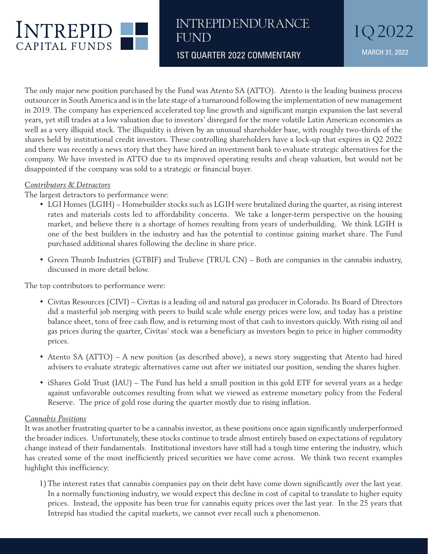

1ST QUARTER 2022 COMMENTARY MARCH 31, 2022

The only major new position purchased by the Fund was Atento SA (ATTO). Atento is the leading business process outsourcer in South America and is in the late stage of a turnaround following the implementation of new management in 2019. The company has experienced accelerated top line growth and significant margin expansion the last several years, yet still trades at a low valuation due to investors' disregard for the more volatile Latin American economies as well as a very illiquid stock. The illiquidity is driven by an unusual shareholder base, with roughly two-thirds of the shares held by institutional credit investors. These controlling shareholders have a lock-up that expires in Q2 2022 and there was recently a news story that they have hired an investment bank to evaluate strategic alternatives for the company. We have invested in ATTO due to its improved operating results and cheap valuation, but would not be disappointed if the company was sold to a strategic or financial buyer.

### *Contributors & Detractors*

The largest detractors to performance were:

- LGI Homes (LGIH) Homebuilder stocks such as LGIH were brutalized during the quarter, as rising interest rates and materials costs led to affordability concerns. We take a longer-term perspective on the housing market, and believe there is a shortage of homes resulting from years of underbuilding. We think LGIH is one of the best builders in the industry and has the potential to continue gaining market share. The Fund purchased additional shares following the decline in share price.
- Green Thumb Industries (GTBIF) and Trulieve (TRUL CN) Both are companies in the cannabis industry, discussed in more detail below.

The top contributors to performance were:

- Civitas Resources (CIVI) Civitas is a leading oil and natural gas producer in Colorado. Its Board of Directors did a masterful job merging with peers to build scale while energy prices were low, and today has a pristine balance sheet, tons of free cash flow, and is returning most of that cash to investors quickly. With rising oil and gas prices during the quarter, Civitas' stock was a beneficiary as investors begin to price in higher commodity prices.
- Atento SA (ATTO) A new position (as described above), a news story suggesting that Atento had hired advisers to evaluate strategic alternatives came out after we initiated our position, sending the shares higher.
- iShares Gold Trust (IAU) The Fund has held a small position in this gold ETF for several years as a hedge against unfavorable outcomes resulting from what we viewed as extreme monetary policy from the Federal Reserve. The price of gold rose during the quarter mostly due to rising inflation.

#### *Cannabis Positions*

It was another frustrating quarter to be a cannabis investor, as these positions once again significantly underperformed the broader indices. Unfortunately, these stocks continue to trade almost entirely based on expectations of regulatory change instead of their fundamentals. Institutional investors have still had a tough time entering the industry, which has created some of the most inefficiently priced securities we have come across. We think two recent examples highlight this inefficiency:

1)The interest rates that cannabis companies pay on their debt have come down significantly over the last year. In a normally functioning industry, we would expect this decline in cost of capital to translate to higher equity prices. Instead, the opposite has been true for cannabis equity prices over the last year. In the 25 years that Intrepid has studied the capital markets, we cannot ever recall such a phenomenon.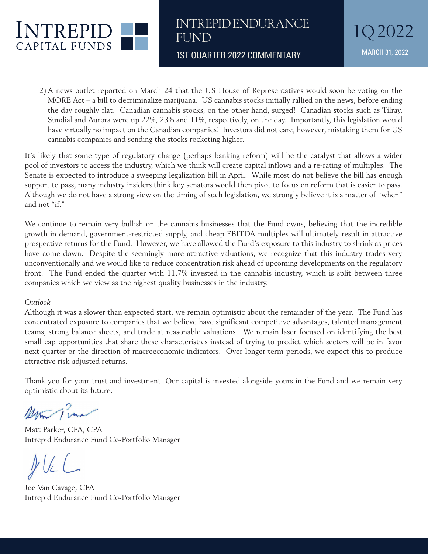

1ST QUARTER 2022 COMMENTARY MARCH 31, 2022

2) A news outlet reported on March 24 that the US House of Representatives would soon be voting on the MORE Act – a bill to decriminalize marijuana. US cannabis stocks initially rallied on the news, before ending the day roughly flat. Canadian cannabis stocks, on the other hand, surged! Canadian stocks such as Tilray, Sundial and Aurora were up 22%, 23% and 11%, respectively, on the day. Importantly, this legislation would have virtually no impact on the Canadian companies! Investors did not care, however, mistaking them for US cannabis companies and sending the stocks rocketing higher.

It's likely that some type of regulatory change (perhaps banking reform) will be the catalyst that allows a wider pool of investors to access the industry, which we think will create capital inflows and a re-rating of multiples. The Senate is expected to introduce a sweeping legalization bill in April. While most do not believe the bill has enough support to pass, many industry insiders think key senators would then pivot to focus on reform that is easier to pass. Although we do not have a strong view on the timing of such legislation, we strongly believe it is a matter of "when" and not "if."

We continue to remain very bullish on the cannabis businesses that the Fund owns, believing that the incredible growth in demand, government-restricted supply, and cheap EBITDA multiples will ultimately result in attractive prospective returns for the Fund. However, we have allowed the Fund's exposure to this industry to shrink as prices have come down. Despite the seemingly more attractive valuations, we recognize that this industry trades very unconventionally and we would like to reduce concentration risk ahead of upcoming developments on the regulatory front. The Fund ended the quarter with 11.7% invested in the cannabis industry, which is split between three companies which we view as the highest quality businesses in the industry.

### *Outlook*

Although it was a slower than expected start, we remain optimistic about the remainder of the year. The Fund has concentrated exposure to companies that we believe have significant competitive advantages, talented management teams, strong balance sheets, and trade at reasonable valuations. We remain laser focused on identifying the best small cap opportunities that share these characteristics instead of trying to predict which sectors will be in favor next quarter or the direction of macroeconomic indicators. Over longer-term periods, we expect this to produce attractive risk-adjusted returns.

Thank you for your trust and investment. Our capital is invested alongside yours in the Fund and we remain very optimistic about its future.

Man Pina

Matt Parker, CFA, CPA Intrepid Endurance Fund Co-Portfolio Manager

 $PUL$ 

Joe Van Cavage, CFA Intrepid Endurance Fund Co-Portfolio Manager